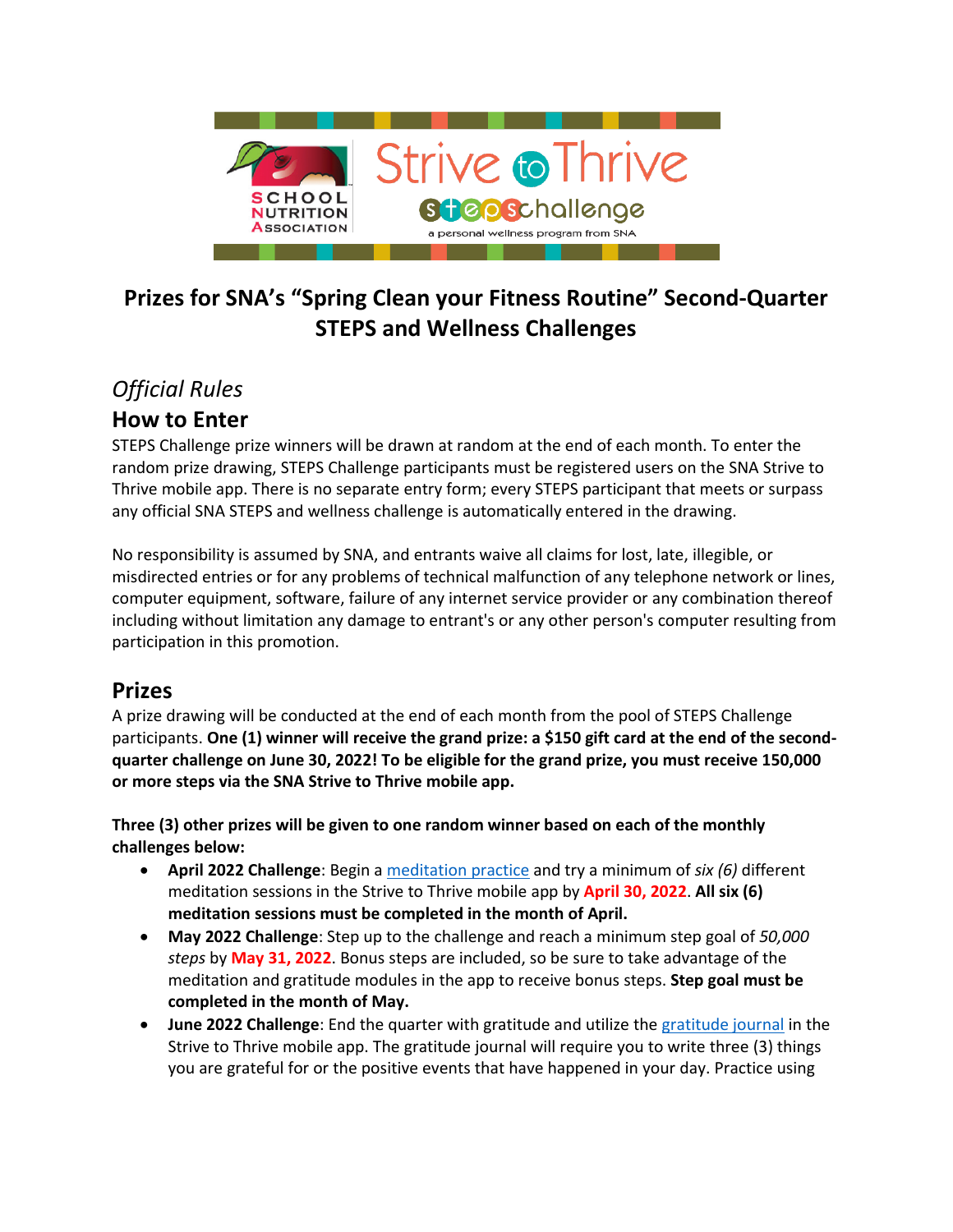

# **Prizes for SNA's "Spring Clean your Fitness Routine" Second-Quarter STEPS and Wellness Challenges**

# *Official Rules*

## **How to Enter**

STEPS Challenge prize winners will be drawn at random at the end of each month. To enter the random prize drawing, STEPS Challenge participants must be registered users on the SNA Strive to Thrive mobile app. There is no separate entry form; every STEPS participant that meets or surpass any official SNA STEPS and wellness challenge is automatically entered in the drawing.

No responsibility is assumed by SNA, and entrants waive all claims for lost, late, illegible, or misdirected entries or for any problems of technical malfunction of any telephone network or lines, computer equipment, software, failure of any internet service provider or any combination thereof including without limitation any damage to entrant's or any other person's computer resulting from participation in this promotion.

### **Prizes**

A prize drawing will be conducted at the end of each month from the pool of STEPS Challenge participants. **One (1) winner will receive the grand prize: a \$150 gift card at the end of the secondquarter challenge on June 30, 2022! To be eligible for the grand prize, you must receive 150,000 or more steps via the SNA Strive to Thrive mobile app.**

**Three (3) other prizes will be given to one random winner based on each of the monthly challenges below:** 

- **April 2022 Challenge**: Begin a [meditation practice](https://www.hekahealth.com/meditate-walkfaq) and try a minimum of *six (6)* different meditation sessions in the Strive to Thrive mobile app by **April 30, 2022**. **All six (6) meditation sessions must be completed in the month of April.**
- **May 2022 Challenge**: Step up to the challenge and reach a minimum step goal of *50,000 steps* by **May 31, 2022**. Bonus steps are included, so be sure to take advantage of the meditation and gratitude modules in the app to receive bonus steps. **Step goal must be completed in the month of May.**
- **June 2022 Challenge**: End the quarter with gratitude and utilize the [gratitude journal](https://www.hekahealth.com/gratitude-walkfaq) in the Strive to Thrive mobile app. The gratitude journal will require you to write three (3) things you are grateful for or the positive events that have happened in your day. Practice using